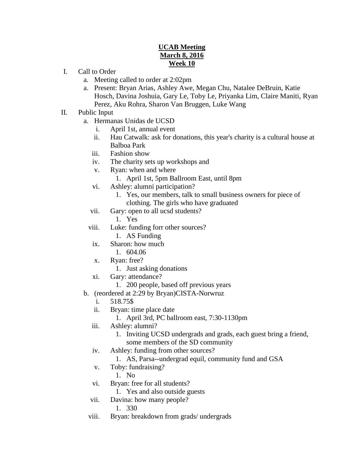## **UCAB Meeting March 8, 2016 Week 10**

- I. Call to Order
	- a. Meeting called to order at 2:02pm
	- a. Present: Bryan Arias, Ashley Awe, Megan Chu, Natalee DeBruin, Katie Hosch, Davina Joshuia, Gary Le, Toby Le, Priyanka Lim, Claire Maniti, Ryan Perez, Aku Rohra, Sharon Van Bruggen, Luke Wang
- II. Public Input
	- a. Hermanas Unidas de UCSD
		- i. April 1st, annual event
		- ii. Hau Catwalk: ask for donations, this year's charity is a cultural house at Balboa Park
		- iii. Fashion show
		- iv. The charity sets up workshops and
		- v. Ryan: when and where
			- 1. April 1st, 5pm Ballroom East, until 8pm
		- vi. Ashley: alumni participation?
			- 1. Yes, our members, talk to small business owners for piece of clothing. The girls who have graduated
		- vii. Gary: open to all ucsd students?
			- 1. Yes
		- viii. Luke: funding forr other sources?
			- 1. AS Funding
		- ix. Sharon: how much
			- 1. 604.06
		- x. Ryan: free?
			- 1. Just asking donations
		- xi. Gary: attendance?
			- 1. 200 people, based off previous years
	- b. (reordered at 2:29 by Bryan)CISTA-Norwruz
		- i. 518.75\$
		- ii. Bryan: time place date
			- 1. April 3rd, PC ballroom east, 7:30-1130pm
		- iii. Ashley: alumni?
			- 1. Inviting UCSD undergrads and grads, each guest bring a friend,
			- some members of the SD community
		- iv. Ashley: funding from other sources?
			- 1. AS, Parsa--undergrad equil, community fund and GSA
		- v. Toby: fundraising?
			- 1. No
		- vi. Bryan: free for all students?
			- 1. Yes and also outside guests
		- vii. Davina: how many people?
			- 1. 330
		- viii. Bryan: breakdown from grads/ undergrads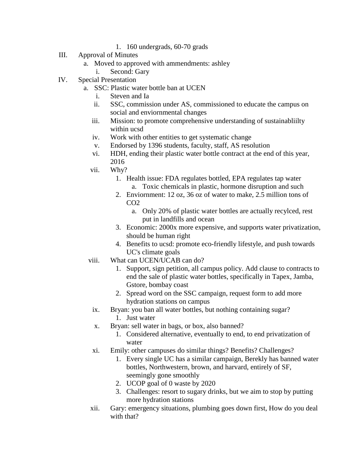- 1. 160 undergrads, 60-70 grads
- III. Approval of Minutes
	- a. Moved to approved with ammendments: ashley
		- i. Second: Gary
- IV. Special Presentation
	- a. SSC: Plastic water bottle ban at UCEN
		- i. Steven and Ia
		- ii. SSC, commission under AS, commissioned to educate the campus on social and enviornmental changes
		- iii. Mission: to promote comprehensive understanding of sustainabliilty within ucsd
		- iv. Work with other entities to get systematic change
		- v. Endorsed by 1396 students, faculty, staff, AS resolution
		- vi. HDH, ending their plastic water bottle contract at the end of this year, 2016
		- vii. Why?
			- 1. Health issue: FDA regulates bottled, EPA regulates tap water a. Toxic chemicals in plastic, hormone disruption and such
			- 2. Enviornment: 12 oz, 36 oz of water to make, 2.5 million tons of  $CO<sub>2</sub>$ 
				- a. Only 20% of plastic water bottles are actually recylced, rest put in landfills and ocean
			- 3. Economic: 2000x more expensive, and supports water privatization, should be human right
			- 4. Benefits to ucsd: promote eco-friendly lifestyle, and push towards UC's climate goals
		- viii. What can UCEN/UCAB can do?
			- 1. Support, sign petition, all campus policy. Add clause to contracts to end the sale of plastic water bottles, specifically in Tapex, Jamba, Gstore, bombay coast
			- 2. Spread word on the SSC campaign, request form to add more hydration stations on campus
			- ix. Bryan: you ban all water bottles, but nothing containing sugar?
				- 1. Just water
			- x. Bryan: sell water in bags, or box, also banned?
				- 1. Considered alternative, eventually to end, to end privatization of water
			- xi. Emily: other campuses do similar things? Benefits? Challenges?
				- 1. Every single UC has a similar campaign, Berekly has banned water bottles, Northwestern, brown, and harvard, entirely of SF, seemingly gone smoothly
				- 2. UCOP goal of 0 waste by 2020
				- 3. Challenges: resort to sugary drinks, but we aim to stop by putting more hydration stations
		- xii. Gary: emergency situations, plumbing goes down first, How do you deal with that?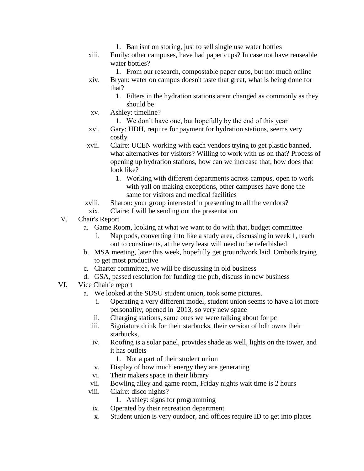- 1. Ban isnt on storing, just to sell single use water bottles
- xiii. Emily: other campuses, have had paper cups? In case not have reuseable water bottles?
	- 1. From our research, compostable paper cups, but not much online
- xiv. Bryan: water on campus doesn't taste that great, what is being done for that?
	- 1. Filters in the hydration stations arent changed as commonly as they should be
- xv. Ashley: timeline?
	- 1. We don't have one, but hopefully by the end of this year
- xvi. Gary: HDH, require for payment for hydration stations, seems very costly
- xvii. Claire: UCEN working with each vendors trying to get plastic banned, what alternatives for visitors? Willing to work with us on that? Process of opening up hydration stations, how can we increase that, how does that look like?
	- 1. Working with different departments across campus, open to work with yall on making exceptions, other campuses have done the same for visitors and medical facilities
- xviii. Sharon: your group interested in presenting to all the vendors?
- xix. Claire: I will be sending out the presentation
- V. Chair's Report
	- a. Game Room, looking at what we want to do with that, budget committee
		- i. Nap pods, converting into like a study area, discussing in week 1, reach out to constiuents, at the very least will need to be referbished
	- b. MSA meeting, later this week, hopefully get groundwork laid. Ombuds trying to get most productive
	- c. Charter committee, we will be discussing in old business
	- d. GSA, passed resolution for funding the pub, discuss in new business
- VI. Vice Chair'e report
	- a. We looked at the SDSU student union, took some pictures.
		- i. Operating a very different model, student union seems to have a lot more personality, opened in 2013, so very new space
		- ii. Charging stations, same ones we were talking about for pc
		- iii. Signiature drink for their starbucks, their version of hdh owns their starbucks,
		- iv. Roofing is a solar panel, provides shade as well, lights on the tower, and it has outlets
			- 1. Not a part of their student union
		- v. Display of how much energy they are generating
		- vi. Their makers space in their library
		- vii. Bowling alley and game room, Friday nights wait time is 2 hours
		- viii. Claire: disco nights?
			- 1. Ashley: signs for programming
		- ix. Operated by their recreation department
		- x. Student union is very outdoor, and offices require ID to get into places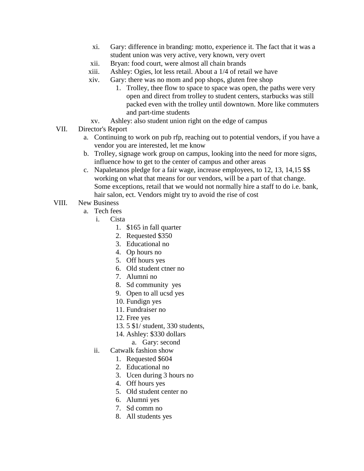- xi. Gary: difference in branding: motto, experience it. The fact that it was a student union was very active, very known, very overt
- xii. Bryan: food court, were almost all chain brands
- xiii. Ashley: Ogies, lot less retail. About a 1/4 of retail we have
- xiv. Gary: there was no mom and pop shops, gluten free shop
	- 1. Trolley, thee flow to space to space was open, the paths were very open and direct from trolley to student centers, starbucks was still packed even with the trolley until downtown. More like commuters and part-time students
- xv. Ashley: also student union right on the edge of campus
- VII. Director's Report
	- a. Continuing to work on pub rfp, reaching out to potential vendors, if you have a vendor you are interested, let me know
	- b. Trolley, signage work group on campus, looking into the need for more signs, influence how to get to the center of campus and other areas
	- c. Napaletanos pledge for a fair wage, increase employees, to 12, 13, 14,15 \$\$ working on what that means for our vendors, will be a part of that change. Some exceptions, retail that we would not normally hire a staff to do i.e. bank, hair salon, ect. Vendors might try to avoid the rise of cost
- VIII. New Business
	- a. Tech fees
		- i. Cista
			- 1. \$165 in fall quarter
			- 2. Requested \$350
			- 3. Educational no
			- 4. Op hours no
			- 5. Off hours yes
			- 6. Old student ctner no
			- 7. Alumni no
			- 8. Sd community yes
			- 9. Open to all ucsd yes
			- 10. Fundign yes
			- 11. Fundraiser no
			- 12. Free yes
			- 13. 5 \$1/ student, 330 students,
			- 14. Ashley: \$330 dollars
				- a. Gary: second
		- ii. Catwalk fashion show
			- 1. Requested \$604
			- 2. Educational no
			- 3. Ucen during 3 hours no
			- 4. Off hours yes
			- 5. Old student center no
			- 6. Alumni yes
			- 7. Sd comm no
			- 8. All students yes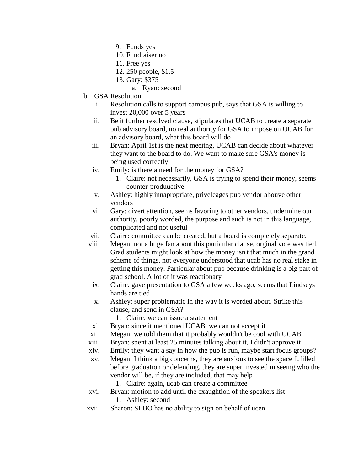- 9. Funds yes
- 10. Fundraiser no
- 11. Free yes
- 12. 250 people, \$1.5
- 13. Gary: \$375
	- a. Ryan: second
- b. GSA Resolution
	- i. Resolution calls to support campus pub, says that GSA is willing to invest 20,000 over 5 years
	- ii. Be it further resolved clause, stipulates that UCAB to create a separate pub advisory board, no real authority for GSA to impose on UCAB for an advisory board, what this board will do
	- iii. Bryan: April 1st is the next meeitng, UCAB can decide about whatever they want to the board to do. We want to make sure GSA's money is being used correctly.
	- iv. Emily: is there a need for the money for GSA?
		- 1. Claire: not necessarily, GSA is trying to spend their money, seems counter-produuctive
	- v. Ashley: highly innapropriate, priveleages pub vendor abouve other vendors
	- vi. Gary: divert attention, seems favoring to other vendors, undermine our authority, poorly worded, the purpose and such is not in this language, complicated and not useful
	- vii. Claire: committee can be created, but a board is completely separate.
	- viii. Megan: not a huge fan about this particular clause, orginal vote was tied. Grad students might look at how the money isn't that much in the grand scheme of things, not everyone understood that ucab has no real stake in getting this money. Particular about pub because drinking is a big part of grad school. A lot of it was reactionary
	- ix. Claire: gave presentation to GSA a few weeks ago, seems that Lindseys hands are tied
	- x. Ashley: super problematic in the way it is worded about. Strike this clause, and send in GSA?
		- 1. Claire: we can issue a statement
	- xi. Bryan: since it mentioned UCAB, we can not accept it
	- xii. Megan: we told them that it probably wouldn't be cool with UCAB
	- xiii. Bryan: spent at least 25 minutes talking about it, I didn't approve it
	- xiv. Emily: they want a say in how the pub is run, maybe start focus groups?
	- xv. Megan: I think a big concerns, they are anxious to see the space fufilled before graduation or defending, they are super invested in seeing who the vendor will be, if they are included, that may help

1. Claire: again, ucab can create a committee

- xvi. Bryan: motion to add until the exaughtion of the speakers list 1. Ashley: second
- xvii. Sharon: SLBO has no ability to sign on behalf of ucen